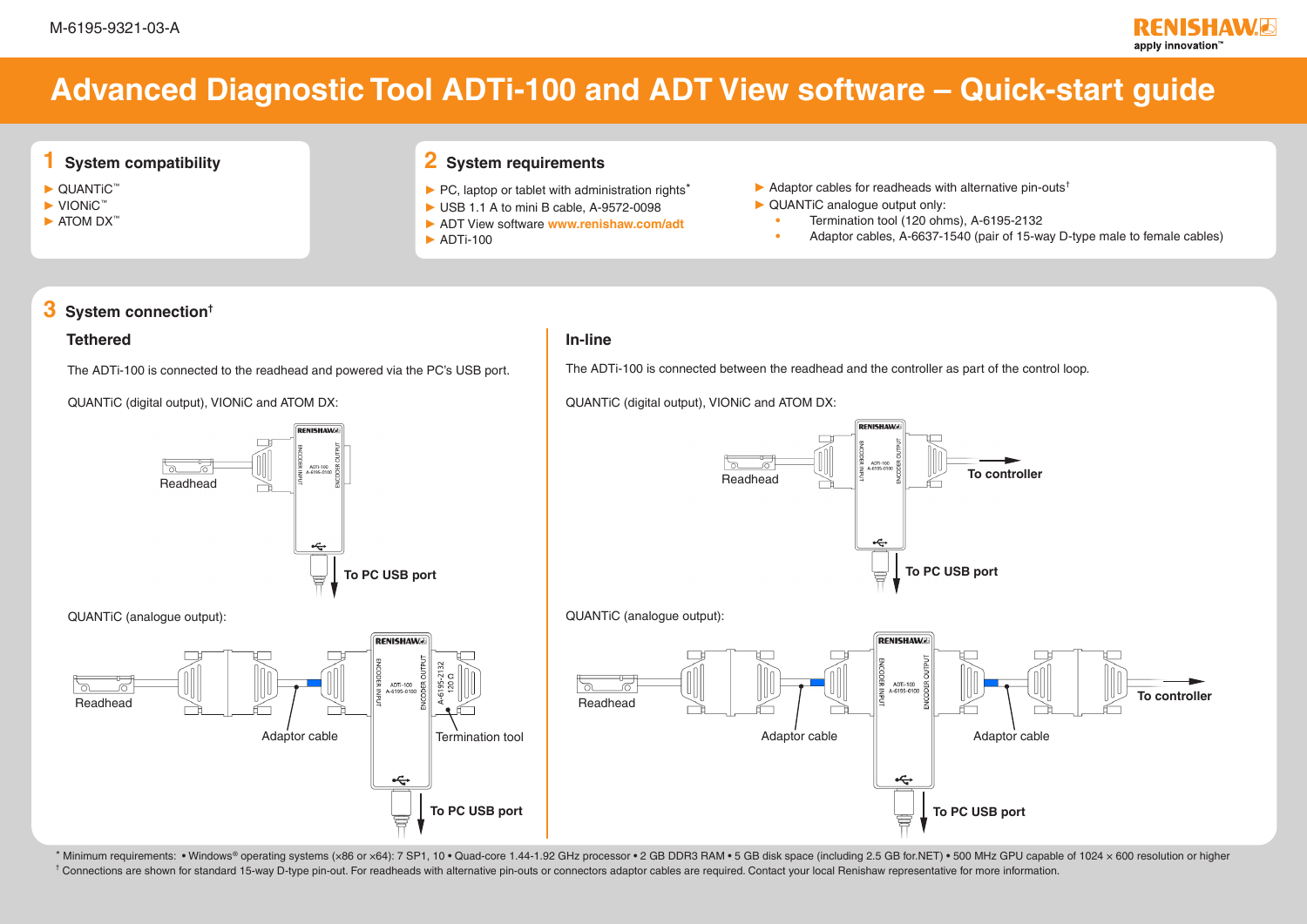# **Advanced Diagnostic Tool ADTi-100 and ADT View software – Quick-start guide**

# **1 System compatibility**

- ► QUANTiC™
- ► VIONiC™
- ► ATOM DX™

# **2 System requirements**

- ► PC, laptop or tablet with administration rights\*
- ► USB 1.1 A to mini B cable, A-9572-0098
- ► ADT View software **[www.renishaw.com/adt](http://www.renishaw.com/adt)**
- $\blacktriangleright$  ADTi-100
- $\blacktriangleright$  Adaptor cables for readheads with alternative pin-outs<sup>†</sup>
- ► QUANTiC analogue output only:
	- **•** Termination tool (120 ohms), A-6195-2132
	- **•** Adaptor cables, A-6637-1540 (pair of 15-way D-type male to female cables)

# **3 System connection†**

### **Tethered In-line**

The ADTi-100 is connected to the readhead and powered via the PC's USB port.

QUANTiC (digital output), VIONiC and ATOM DX:





QUANTiC (analogue output):



\* Minimum requirements: • Windows® operating systems (x86 or x64): 7 SP1, 10 • Quad-core 1.44-1.92 GHz processor • 2 GB DDR3 RAM • 5 GB disk space (including 2.5 GB for.NET) • 500 MHz GPU capable of 1024 x 600 resolution o <sup>†</sup> Connections are shown for standard 15-way D-type pin-out. For readheads with alternative pin-outs or connectors adaptor cables are required. Contact your local Renishaw representative for more information.

The ADTi-100 is connected between the readhead and the controller as part of the control loop.

QUANTiC (digital output), VIONiC and ATOM DX: